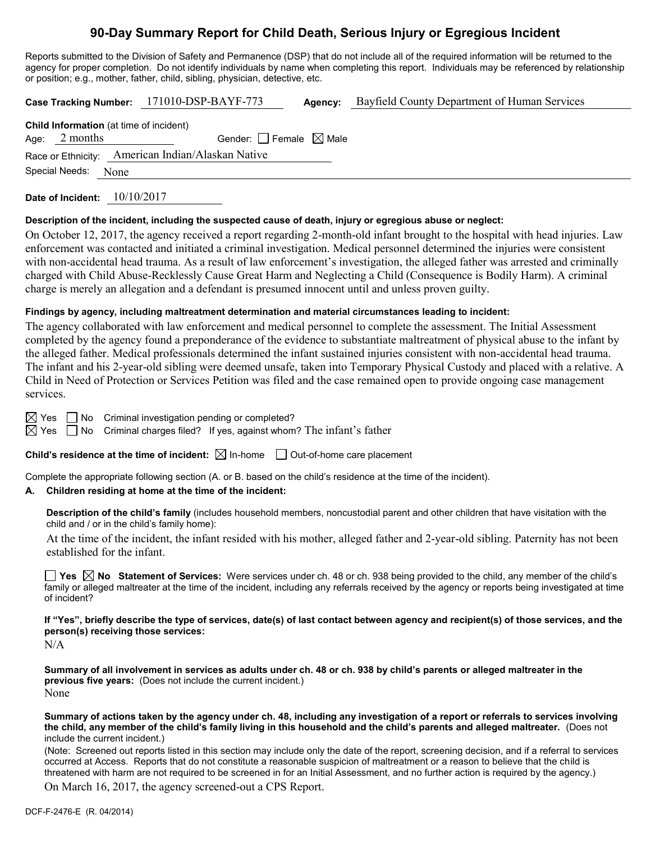# **90-Day Summary Report for Child Death, Serious Injury or Egregious Incident**

Reports submitted to the Division of Safety and Permanence (DSP) that do not include all of the required information will be returned to the agency for proper completion. Do not identify individuals by name when completing this report. Individuals may be referenced by relationship or position; e.g., mother, father, child, sibling, physician, detective, etc.

|                                                                   | Case Tracking Number: 171010-DSP-BAYF-773         | Agency: | Bayfield County Department of Human Services |
|-------------------------------------------------------------------|---------------------------------------------------|---------|----------------------------------------------|
| <b>Child Information</b> (at time of incident)<br>Age: $2$ months | Gender: $ $ Female $\boxtimes$ Male               |         |                                              |
|                                                                   | Race or Ethnicity: American Indian/Alaskan Native |         |                                              |
| Special Needs: None                                               |                                                   |         |                                              |

**Date of Incident:** 10/10/2017

#### **Description of the incident, including the suspected cause of death, injury or egregious abuse or neglect:**

On October 12, 2017, the agency received a report regarding 2-month-old infant brought to the hospital with head injuries. Law enforcement was contacted and initiated a criminal investigation. Medical personnel determined the injuries were consistent with non-accidental head trauma. As a result of law enforcement's investigation, the alleged father was arrested and criminally charged with Child Abuse-Recklessly Cause Great Harm and Neglecting a Child (Consequence is Bodily Harm). A criminal charge is merely an allegation and a defendant is presumed innocent until and unless proven guilty.

#### **Findings by agency, including maltreatment determination and material circumstances leading to incident:**

The agency collaborated with law enforcement and medical personnel to complete the assessment. The Initial Assessment completed by the agency found a preponderance of the evidence to substantiate maltreatment of physical abuse to the infant by the alleged father. Medical professionals determined the infant sustained injuries consistent with non-accidental head trauma. The infant and his 2-year-old sibling were deemed unsafe, taken into Temporary Physical Custody and placed with a relative. A Child in Need of Protection or Services Petition was filed and the case remained open to provide ongoing case management services.

 $\boxtimes$  Yes  $\Box$  No Criminal investigation pending or completed?

 $\boxtimes$  Yes  $\Box$  No Criminal charges filed? If yes, against whom? The infant's father

#### **Child's residence at the time of incident:**  $\boxtimes$  In-home  $\Box$  Out-of-home care placement

Complete the appropriate following section (A. or B. based on the child's residence at the time of the incident).

#### **A. Children residing at home at the time of the incident:**

**Description of the child's family** (includes household members, noncustodial parent and other children that have visitation with the child and / or in the child's family home):

At the time of the incident, the infant resided with his mother, alleged father and 2-year-old sibling. Paternity has not been established for the infant.

**Yes No Statement of Services:** Were services under ch. 48 or ch. 938 being provided to the child, any member of the child's family or alleged maltreater at the time of the incident, including any referrals received by the agency or reports being investigated at time of incident?

**If "Yes", briefly describe the type of services, date(s) of last contact between agency and recipient(s) of those services, and the person(s) receiving those services:**

N/A

**Summary of all involvement in services as adults under ch. 48 or ch. 938 by child's parents or alleged maltreater in the previous five years:** (Does not include the current incident.) None

**Summary of actions taken by the agency under ch. 48, including any investigation of a report or referrals to services involving the child, any member of the child's family living in this household and the child's parents and alleged maltreater.** (Does not include the current incident.)

(Note: Screened out reports listed in this section may include only the date of the report, screening decision, and if a referral to services occurred at Access. Reports that do not constitute a reasonable suspicion of maltreatment or a reason to believe that the child is threatened with harm are not required to be screened in for an Initial Assessment, and no further action is required by the agency.)

On March 16, 2017, the agency screened-out a CPS Report.